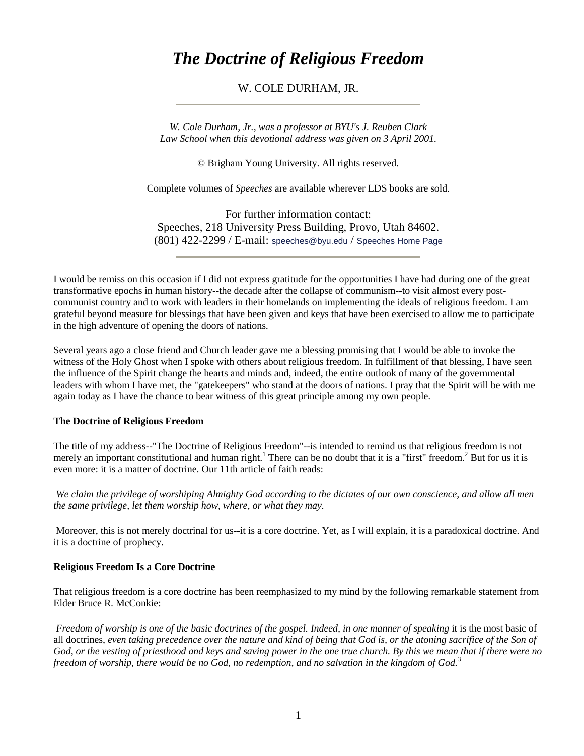# *The Doctrine of Religious Freedom*

## W. COLE DURHAM, JR.

*W. Cole Durham, Jr., was a professor at BYU's J. Reuben Clark Law School when this devotional address was given on 3 April 2001.*

© Brigham Young University. All rights reserved.

Complete volumes of *Speeches* are available wherever LDS books are sold.

For further information contact: Speeches, 218 University Press Building, Provo, Utah 84602. (801) 422-2299 / E-mail: [speeches@byu.edu](mailto:speeches@byu.edu) / [Speeches Home Page](http://speeches.byu.edu/)

I would be remiss on this occasion if I did not express gratitude for the opportunities I have had during one of the great transformative epochs in human history--the decade after the collapse of communism--to visit almost every postcommunist country and to work with leaders in their homelands on implementing the ideals of religious freedom. I am grateful beyond measure for blessings that have been given and keys that have been exercised to allow me to participate in the high adventure of opening the doors of nations.

Several years ago a close friend and Church leader gave me a blessing promising that I would be able to invoke the witness of the Holy Ghost when I spoke with others about religious freedom. In fulfillment of that blessing, I have seen the influence of the Spirit change the hearts and minds and, indeed, the entire outlook of many of the governmental leaders with whom I have met, the "gatekeepers" who stand at the doors of nations. I pray that the Spirit will be with me again today as I have the chance to bear witness of this great principle among my own people.

#### **The Doctrine of Religious Freedom**

The title of my address--"The Doctrine of Religious Freedom"--is intended to remind us that religious freedom is not merely an important constitutional and human right.<sup>1</sup> There can be no doubt that it is a "first" freedom.<sup>2</sup> But for us it is even more: it is a matter of doctrine. Our 11th article of faith reads:

*We claim the privilege of worshiping Almighty God according to the dictates of our own conscience, and allow all men the same privilege, let them worship how, where, or what they may.*

Moreover, this is not merely doctrinal for us--it is a core doctrine. Yet, as I will explain, it is a paradoxical doctrine. And it is a doctrine of prophecy.

#### **Religious Freedom Is a Core Doctrine**

That religious freedom is a core doctrine has been reemphasized to my mind by the following remarkable statement from Elder Bruce R. McConkie:

*Freedom of worship is one of the basic doctrines of the gospel. Indeed, in one manner of speaking* it is the most basic of all doctrines, *even taking precedence over the nature and kind of being that God is, or the atoning sacrifice of the Son of God, or the vesting of priesthood and keys and saving power in the one true church. By this we mean that if there were no freedom of worship, there would be no God, no redemption, and no salvation in the kingdom of God.*<sup>3</sup>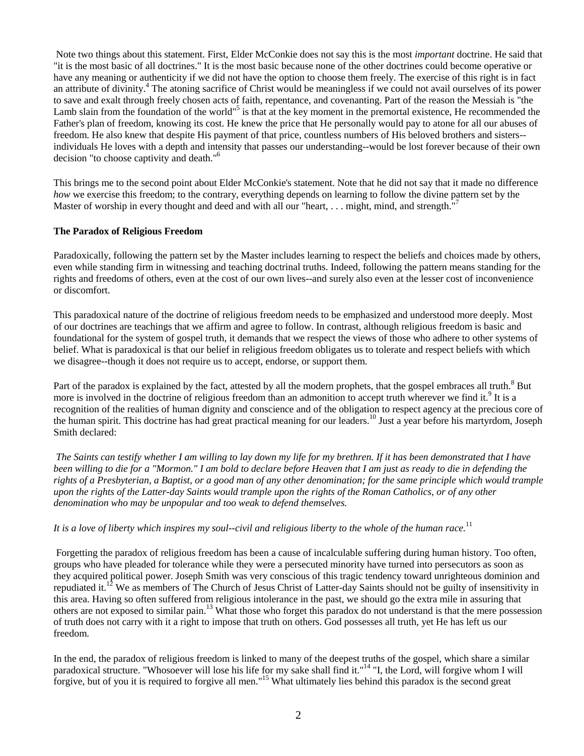Note two things about this statement. First, Elder McConkie does not say this is the most *important* doctrine. He said that "it is the most basic of all doctrines." It is the most basic because none of the other doctrines could become operative or have any meaning or authenticity if we did not have the option to choose them freely. The exercise of this right is in fact an attribute of divinity.<sup>4</sup> The atoning sacrifice of Christ would be meaningless if we could not avail ourselves of its power to save and exalt through freely chosen acts of faith, repentance, and covenanting. Part of the reason the Messiah is "the Lamb slain from the foundation of the world"<sup>5</sup> is that at the key moment in the premortal existence, He recommended the Father's plan of freedom, knowing its cost. He knew the price that He personally would pay to atone for all our abuses of freedom. He also knew that despite His payment of that price, countless numbers of His beloved brothers and sisters- individuals He loves with a depth and intensity that passes our understanding--would be lost forever because of their own decision "to choose captivity and death."6

This brings me to the second point about Elder McConkie's statement. Note that he did not say that it made no difference *how* we exercise this freedom; to the contrary, everything depends on learning to follow the divine pattern set by the Master of worship in every thought and deed and with all our "heart, . . . might, mind, and strength."

## **The Paradox of Religious Freedom**

Paradoxically, following the pattern set by the Master includes learning to respect the beliefs and choices made by others, even while standing firm in witnessing and teaching doctrinal truths. Indeed, following the pattern means standing for the rights and freedoms of others, even at the cost of our own lives--and surely also even at the lesser cost of inconvenience or discomfort.

This paradoxical nature of the doctrine of religious freedom needs to be emphasized and understood more deeply. Most of our doctrines are teachings that we affirm and agree to follow. In contrast, although religious freedom is basic and foundational for the system of gospel truth, it demands that we respect the views of those who adhere to other systems of belief. What is paradoxical is that our belief in religious freedom obligates us to tolerate and respect beliefs with which we disagree--though it does not require us to accept, endorse, or support them.

Part of the paradox is explained by the fact, attested by all the modern prophets, that the gospel embraces all truth.<sup>8</sup> But more is involved in the doctrine of religious freedom than an admonition to accept truth wherever we find it.<sup>9</sup> It is a recognition of the realities of human dignity and conscience and of the obligation to respect agency at the precious core of the human spirit. This doctrine has had great practical meaning for our leaders. <sup>10</sup> Just a year before his martyrdom, Joseph Smith declared:

*The Saints can testify whether I am willing to lay down my life for my brethren. If it has been demonstrated that I have been willing to die for a "Mormon." I am bold to declare before Heaven that I am just as ready to die in defending the rights of a Presbyterian, a Baptist, or a good man of any other denomination; for the same principle which would trample upon the rights of the Latter-day Saints would trample upon the rights of the Roman Catholics, or of any other denomination who may be unpopular and too weak to defend themselves.*

#### *It is a love of liberty which inspires my soul--civil and religious liberty to the whole of the human race.*<sup>11</sup>

Forgetting the paradox of religious freedom has been a cause of incalculable suffering during human history. Too often, groups who have pleaded for tolerance while they were a persecuted minority have turned into persecutors as soon as they acquired political power. Joseph Smith was very conscious of this tragic tendency toward unrighteous dominion and repudiated it.<sup>12</sup> We as members of The Church of Jesus Christ of Latter-day Saints should not be guilty of insensitivity in this area. Having so often suffered from religious intolerance in the past, we should go the extra mile in assuring that others are not exposed to similar pain.<sup>13</sup> What those who forget this paradox do not understand is that the mere possession of truth does not carry with it a right to impose that truth on others. God possesses all truth, yet He has left us our freedom.

In the end, the paradox of religious freedom is linked to many of the deepest truths of the gospel, which share a similar paradoxical structure. "Whosoever will lose his life for my sake shall find it."<sup>14</sup> "I, the Lord, will forgive whom I will forgive, but of you it is required to forgive all men."15 What ultimately lies behind this paradox is the second great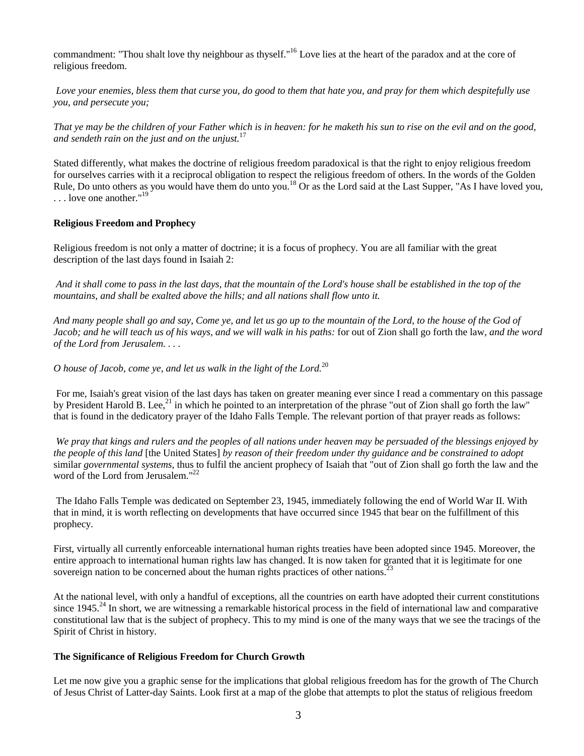commandment: "Thou shalt love thy neighbour as thyself."<sup>16</sup> Love lies at the heart of the paradox and at the core of religious freedom.

*Love your enemies, bless them that curse you, do good to them that hate you, and pray for them which despitefully use you, and persecute you;*

*That ye may be the children of your Father which is in heaven: for he maketh his sun to rise on the evil and on the good, and sendeth rain on the just and on the unjust.*<sup>17</sup>

Stated differently, what makes the doctrine of religious freedom paradoxical is that the right to enjoy religious freedom for ourselves carries with it a reciprocal obligation to respect the religious freedom of others. In the words of the Golden Rule, Do unto others as you would have them do unto you.<sup>18</sup> Or as the Lord said at the Last Supper, "As I have loved you, ... love one another."<sup>19</sup>

#### **Religious Freedom and Prophecy**

Religious freedom is not only a matter of doctrine; it is a focus of prophecy. You are all familiar with the great description of the last days found in Isaiah 2:

*And it shall come to pass in the last days, that the mountain of the Lord's house shall be established in the top of the mountains, and shall be exalted above the hills; and all nations shall flow unto it.*

*And many people shall go and say, Come ye, and let us go up to the mountain of the Lord, to the house of the God of Jacob; and he will teach us of his ways, and we will walk in his paths:* for out of Zion shall go forth the law, *and the word of the Lord from Jerusalem. . . .*

*O house of Jacob, come ye, and let us walk in the light of the Lord.*<sup>20</sup>

For me, Isaiah's great vision of the last days has taken on greater meaning ever since I read a commentary on this passage by President Harold B. Lee,<sup>21</sup> in which he pointed to an interpretation of the phrase "out of Zion shall go forth the law" that is found in the dedicatory prayer of the Idaho Falls Temple. The relevant portion of that prayer reads as follows:

*We pray that kings and rulers and the peoples of all nations under heaven may be persuaded of the blessings enjoyed by the people of this land* [the United States] *by reason of their freedom under thy guidance and be constrained to adopt* similar *governmental systems,* thus to fulfil the ancient prophecy of Isaiah that "out of Zion shall go forth the law and the word of the Lord from Jerusalem."<sup>22</sup>

The Idaho Falls Temple was dedicated on September 23, 1945, immediately following the end of World War II. With that in mind, it is worth reflecting on developments that have occurred since 1945 that bear on the fulfillment of this prophecy.

First, virtually all currently enforceable international human rights treaties have been adopted since 1945. Moreover, the entire approach to international human rights law has changed. It is now taken for granted that it is legitimate for one sovereign nation to be concerned about the human rights practices of other nations.<sup>23</sup>

At the national level, with only a handful of exceptions, all the countries on earth have adopted their current constitutions since  $1945.^{24}$  In short, we are witnessing a remarkable historical process in the field of international law and comparative constitutional law that is the subject of prophecy. This to my mind is one of the many ways that we see the tracings of the Spirit of Christ in history.

#### **The Significance of Religious Freedom for Church Growth**

Let me now give you a graphic sense for the implications that global religious freedom has for the growth of The Church of Jesus Christ of Latter-day Saints. Look first at a map of the globe that attempts to plot the status of religious freedom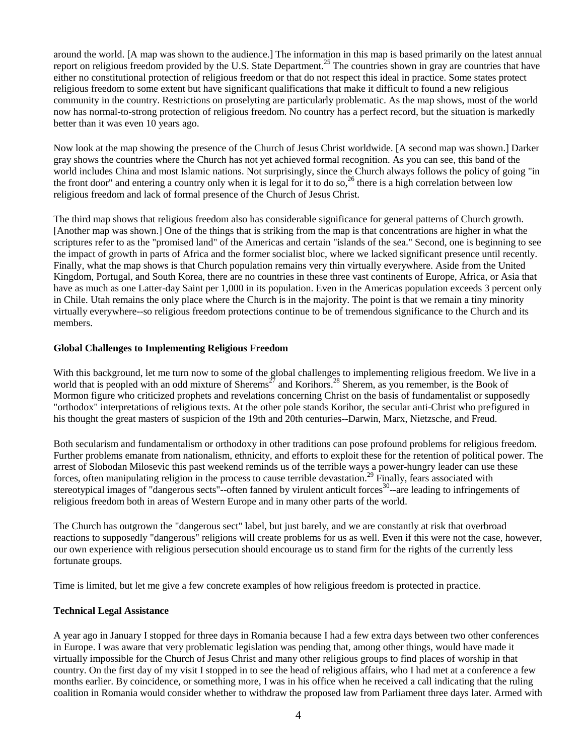around the world. [A map was shown to the audience.] The information in this map is based primarily on the latest annual report on religious freedom provided by the U.S. State Department.<sup>25</sup> The countries shown in gray are countries that have either no constitutional protection of religious freedom or that do not respect this ideal in practice. Some states protect religious freedom to some extent but have significant qualifications that make it difficult to found a new religious community in the country. Restrictions on proselyting are particularly problematic. As the map shows, most of the world now has normal-to-strong protection of religious freedom. No country has a perfect record, but the situation is markedly better than it was even 10 years ago.

Now look at the map showing the presence of the Church of Jesus Christ worldwide. [A second map was shown.] Darker gray shows the countries where the Church has not yet achieved formal recognition. As you can see, this band of the world includes China and most Islamic nations. Not surprisingly, since the Church always follows the policy of going "in the front door" and entering a country only when it is legal for it to do so,<sup>26</sup> there is a high correlation between low religious freedom and lack of formal presence of the Church of Jesus Christ.

The third map shows that religious freedom also has considerable significance for general patterns of Church growth. [Another map was shown.] One of the things that is striking from the map is that concentrations are higher in what the scriptures refer to as the "promised land" of the Americas and certain "islands of the sea." Second, one is beginning to see the impact of growth in parts of Africa and the former socialist bloc, where we lacked significant presence until recently. Finally, what the map shows is that Church population remains very thin virtually everywhere. Aside from the United Kingdom, Portugal, and South Korea, there are no countries in these three vast continents of Europe, Africa, or Asia that have as much as one Latter-day Saint per 1,000 in its population. Even in the Americas population exceeds 3 percent only in Chile. Utah remains the only place where the Church is in the majority. The point is that we remain a tiny minority virtually everywhere--so religious freedom protections continue to be of tremendous significance to the Church and its members.

## **Global Challenges to Implementing Religious Freedom**

With this background, let me turn now to some of the global challenges to implementing religious freedom. We live in a world that is peopled with an odd mixture of Sherems<sup>27</sup> and Korihors.<sup>28</sup> Sherem, as you remember, is the Book of Mormon figure who criticized prophets and revelations concerning Christ on the basis of fundamentalist or supposedly "orthodox" interpretations of religious texts. At the other pole stands Korihor, the secular anti-Christ who prefigured in his thought the great masters of suspicion of the 19th and 20th centuries--Darwin, Marx, Nietzsche, and Freud.

Both secularism and fundamentalism or orthodoxy in other traditions can pose profound problems for religious freedom. Further problems emanate from nationalism, ethnicity, and efforts to exploit these for the retention of political power. The arrest of Slobodan Milosevic this past weekend reminds us of the terrible ways a power-hungry leader can use these forces, often manipulating religion in the process to cause terrible devastation.<sup>29</sup> Finally, fears associated with stereotypical images of "dangerous sects"--often fanned by virulent anticult forces $30$ --are leading to infringements of religious freedom both in areas of Western Europe and in many other parts of the world.

The Church has outgrown the "dangerous sect" label, but just barely, and we are constantly at risk that overbroad reactions to supposedly "dangerous" religions will create problems for us as well. Even if this were not the case, however, our own experience with religious persecution should encourage us to stand firm for the rights of the currently less fortunate groups.

Time is limited, but let me give a few concrete examples of how religious freedom is protected in practice.

## **Technical Legal Assistance**

A year ago in January I stopped for three days in Romania because I had a few extra days between two other conferences in Europe. I was aware that very problematic legislation was pending that, among other things, would have made it virtually impossible for the Church of Jesus Christ and many other religious groups to find places of worship in that country. On the first day of my visit I stopped in to see the head of religious affairs, who I had met at a conference a few months earlier. By coincidence, or something more, I was in his office when he received a call indicating that the ruling coalition in Romania would consider whether to withdraw the proposed law from Parliament three days later. Armed with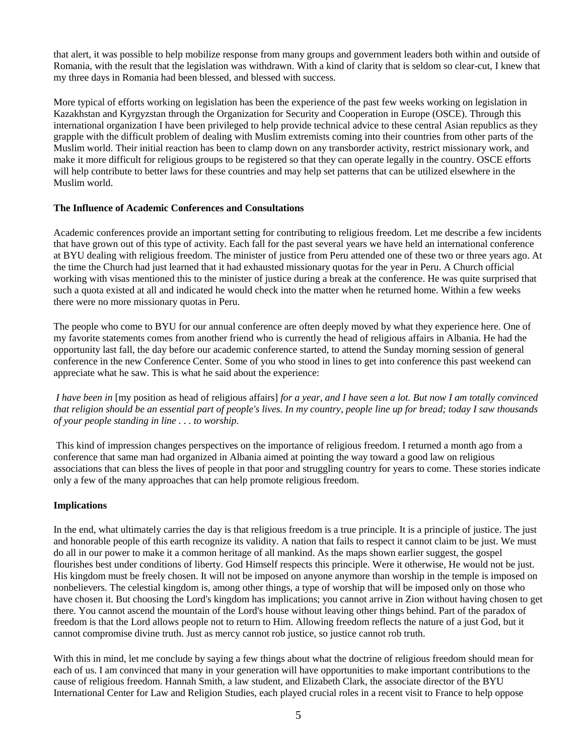that alert, it was possible to help mobilize response from many groups and government leaders both within and outside of Romania, with the result that the legislation was withdrawn. With a kind of clarity that is seldom so clear-cut, I knew that my three days in Romania had been blessed, and blessed with success.

More typical of efforts working on legislation has been the experience of the past few weeks working on legislation in Kazakhstan and Kyrgyzstan through the Organization for Security and Cooperation in Europe (OSCE). Through this international organization I have been privileged to help provide technical advice to these central Asian republics as they grapple with the difficult problem of dealing with Muslim extremists coming into their countries from other parts of the Muslim world. Their initial reaction has been to clamp down on any transborder activity, restrict missionary work, and make it more difficult for religious groups to be registered so that they can operate legally in the country. OSCE efforts will help contribute to better laws for these countries and may help set patterns that can be utilized elsewhere in the Muslim world.

## **The Influence of Academic Conferences and Consultations**

Academic conferences provide an important setting for contributing to religious freedom. Let me describe a few incidents that have grown out of this type of activity. Each fall for the past several years we have held an international conference at BYU dealing with religious freedom. The minister of justice from Peru attended one of these two or three years ago. At the time the Church had just learned that it had exhausted missionary quotas for the year in Peru. A Church official working with visas mentioned this to the minister of justice during a break at the conference. He was quite surprised that such a quota existed at all and indicated he would check into the matter when he returned home. Within a few weeks there were no more missionary quotas in Peru.

The people who come to BYU for our annual conference are often deeply moved by what they experience here. One of my favorite statements comes from another friend who is currently the head of religious affairs in Albania. He had the opportunity last fall, the day before our academic conference started, to attend the Sunday morning session of general conference in the new Conference Center. Some of you who stood in lines to get into conference this past weekend can appreciate what he saw. This is what he said about the experience:

*I have been in* [my position as head of religious affairs] *for a year, and I have seen a lot. But now I am totally convinced that religion should be an essential part of people's lives. In my country, people line up for bread; today I saw thousands of your people standing in line . . . to worship.*

This kind of impression changes perspectives on the importance of religious freedom. I returned a month ago from a conference that same man had organized in Albania aimed at pointing the way toward a good law on religious associations that can bless the lives of people in that poor and struggling country for years to come. These stories indicate only a few of the many approaches that can help promote religious freedom.

## **Implications**

In the end, what ultimately carries the day is that religious freedom is a true principle. It is a principle of justice. The just and honorable people of this earth recognize its validity. A nation that fails to respect it cannot claim to be just. We must do all in our power to make it a common heritage of all mankind. As the maps shown earlier suggest, the gospel flourishes best under conditions of liberty. God Himself respects this principle. Were it otherwise, He would not be just. His kingdom must be freely chosen. It will not be imposed on anyone anymore than worship in the temple is imposed on nonbelievers. The celestial kingdom is, among other things, a type of worship that will be imposed only on those who have chosen it. But choosing the Lord's kingdom has implications; you cannot arrive in Zion without having chosen to get there. You cannot ascend the mountain of the Lord's house without leaving other things behind. Part of the paradox of freedom is that the Lord allows people not to return to Him. Allowing freedom reflects the nature of a just God, but it cannot compromise divine truth. Just as mercy cannot rob justice, so justice cannot rob truth.

With this in mind, let me conclude by saying a few things about what the doctrine of religious freedom should mean for each of us. I am convinced that many in your generation will have opportunities to make important contributions to the cause of religious freedom. Hannah Smith, a law student, and Elizabeth Clark, the associate director of the BYU International Center for Law and Religion Studies, each played crucial roles in a recent visit to France to help oppose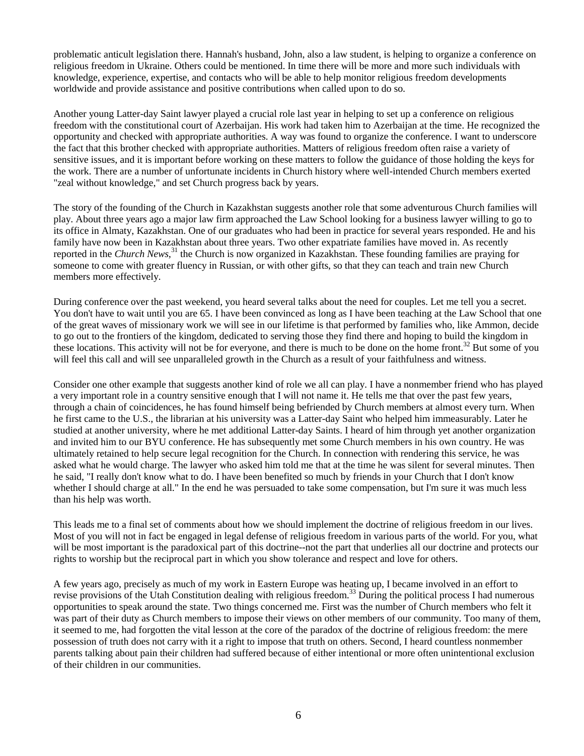problematic anticult legislation there. Hannah's husband, John, also a law student, is helping to organize a conference on religious freedom in Ukraine. Others could be mentioned. In time there will be more and more such individuals with knowledge, experience, expertise, and contacts who will be able to help monitor religious freedom developments worldwide and provide assistance and positive contributions when called upon to do so.

Another young Latter-day Saint lawyer played a crucial role last year in helping to set up a conference on religious freedom with the constitutional court of Azerbaijan. His work had taken him to Azerbaijan at the time. He recognized the opportunity and checked with appropriate authorities. A way was found to organize the conference. I want to underscore the fact that this brother checked with appropriate authorities. Matters of religious freedom often raise a variety of sensitive issues, and it is important before working on these matters to follow the guidance of those holding the keys for the work. There are a number of unfortunate incidents in Church history where well-intended Church members exerted "zeal without knowledge," and set Church progress back by years.

The story of the founding of the Church in Kazakhstan suggests another role that some adventurous Church families will play. About three years ago a major law firm approached the Law School looking for a business lawyer willing to go to its office in Almaty, Kazakhstan. One of our graduates who had been in practice for several years responded. He and his family have now been in Kazakhstan about three years. Two other expatriate families have moved in. As recently reported in the *Church News*,<sup>31</sup> the Church is now organized in Kazakhstan. These founding families are praying for someone to come with greater fluency in Russian, or with other gifts, so that they can teach and train new Church members more effectively.

During conference over the past weekend, you heard several talks about the need for couples. Let me tell you a secret. You don't have to wait until you are 65. I have been convinced as long as I have been teaching at the Law School that one of the great waves of missionary work we will see in our lifetime is that performed by families who, like Ammon, decide to go out to the frontiers of the kingdom, dedicated to serving those they find there and hoping to build the kingdom in these locations. This activity will not be for everyone, and there is much to be done on the home front.<sup>32</sup> But some of you will feel this call and will see unparalleled growth in the Church as a result of your faithfulness and witness.

Consider one other example that suggests another kind of role we all can play. I have a nonmember friend who has played a very important role in a country sensitive enough that I will not name it. He tells me that over the past few years, through a chain of coincidences, he has found himself being befriended by Church members at almost every turn. When he first came to the U.S., the librarian at his university was a Latter-day Saint who helped him immeasurably. Later he studied at another university, where he met additional Latter-day Saints. I heard of him through yet another organization and invited him to our BYU conference. He has subsequently met some Church members in his own country. He was ultimately retained to help secure legal recognition for the Church. In connection with rendering this service, he was asked what he would charge. The lawyer who asked him told me that at the time he was silent for several minutes. Then he said, "I really don't know what to do. I have been benefited so much by friends in your Church that I don't know whether I should charge at all." In the end he was persuaded to take some compensation, but I'm sure it was much less than his help was worth.

This leads me to a final set of comments about how we should implement the doctrine of religious freedom in our lives. Most of you will not in fact be engaged in legal defense of religious freedom in various parts of the world. For you, what will be most important is the paradoxical part of this doctrine--not the part that underlies all our doctrine and protects our rights to worship but the reciprocal part in which you show tolerance and respect and love for others.

A few years ago, precisely as much of my work in Eastern Europe was heating up, I became involved in an effort to revise provisions of the Utah Constitution dealing with religious freedom.<sup>33</sup> During the political process I had numerous opportunities to speak around the state. Two things concerned me. First was the number of Church members who felt it was part of their duty as Church members to impose their views on other members of our community. Too many of them, it seemed to me, had forgotten the vital lesson at the core of the paradox of the doctrine of religious freedom: the mere possession of truth does not carry with it a right to impose that truth on others. Second, I heard countless nonmember parents talking about pain their children had suffered because of either intentional or more often unintentional exclusion of their children in our communities.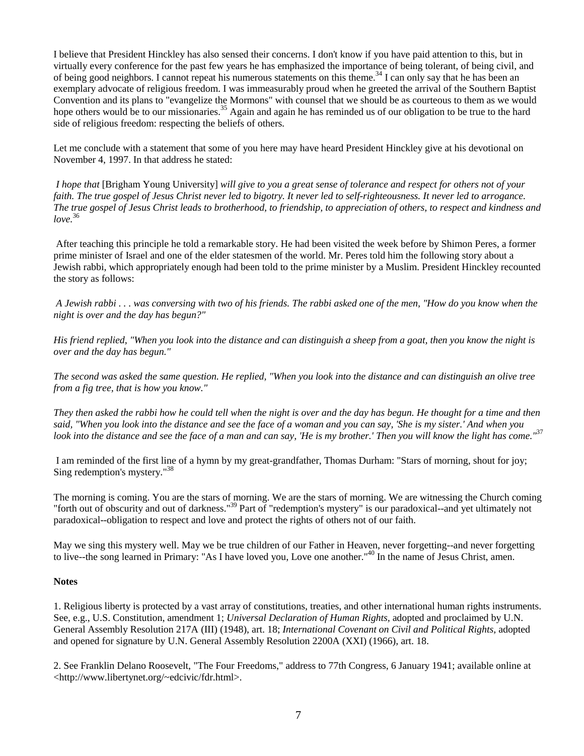I believe that President Hinckley has also sensed their concerns. I don't know if you have paid attention to this, but in virtually every conference for the past few years he has emphasized the importance of being tolerant, of being civil, and of being good neighbors. I cannot repeat his numerous statements on this theme.<sup>34</sup> I can only say that he has been an exemplary advocate of religious freedom. I was immeasurably proud when he greeted the arrival of the Southern Baptist Convention and its plans to "evangelize the Mormons" with counsel that we should be as courteous to them as we would hope others would be to our missionaries.<sup>35</sup> Again and again he has reminded us of our obligation to be true to the hard side of religious freedom: respecting the beliefs of others.

Let me conclude with a statement that some of you here may have heard President Hinckley give at his devotional on November 4, 1997. In that address he stated:

*I hope that* [Brigham Young University] *will give to you a great sense of tolerance and respect for others not of your faith. The true gospel of Jesus Christ never led to bigotry. It never led to self-righteousness. It never led to arrogance. The true gospel of Jesus Christ leads to brotherhood, to friendship, to appreciation of others, to respect and kindness and love.*<sup>36</sup>

After teaching this principle he told a remarkable story. He had been visited the week before by Shimon Peres, a former prime minister of Israel and one of the elder statesmen of the world. Mr. Peres told him the following story about a Jewish rabbi, which appropriately enough had been told to the prime minister by a Muslim. President Hinckley recounted the story as follows:

*A Jewish rabbi . . . was conversing with two of his friends. The rabbi asked one of the men, "How do you know when the night is over and the day has begun?"*

*His friend replied, "When you look into the distance and can distinguish a sheep from a goat, then you know the night is over and the day has begun."*

*The second was asked the same question. He replied, "When you look into the distance and can distinguish an olive tree from a fig tree, that is how you know."*

*They then asked the rabbi how he could tell when the night is over and the day has begun. He thought for a time and then said, "When you look into the distance and see the face of a woman and you can say, 'She is my sister.' And when you look into the distance and see the face of a man and can say, 'He is my brother.' Then you will know the light has come."*<sup>37</sup>

I am reminded of the first line of a hymn by my great-grandfather, Thomas Durham: "Stars of morning, shout for joy; Sing redemption's mystery."38

The morning is coming. You are the stars of morning. We are the stars of morning. We are witnessing the Church coming "forth out of obscurity and out of darkness."<sup>39</sup> Part of "redemption's mystery" is our paradoxical--and yet ultimately not paradoxical--obligation to respect and love and protect the rights of others not of our faith.

May we sing this mystery well. May we be true children of our Father in Heaven, never forgetting--and never forgetting to live--the song learned in Primary: "As I have loved you, Love one another."40 In the name of Jesus Christ, amen.

## **Notes**

1. Religious liberty is protected by a vast array of constitutions, treaties, and other international human rights instruments. See, e.g., U.S. Constitution, amendment 1; *Universal Declaration of Human Rights,* adopted and proclaimed by U.N. General Assembly Resolution 217A (III) (1948), art. 18; *International Covenant on Civil and Political Rights,* adopted and opened for signature by U.N. General Assembly Resolution 2200A (XXI) (1966), art. 18.

2. See Franklin Delano Roosevelt, "The Four Freedoms," address to 77th Congress, 6 January 1941; available online at <http://www.libertynet.org/~edcivic/fdr.html>.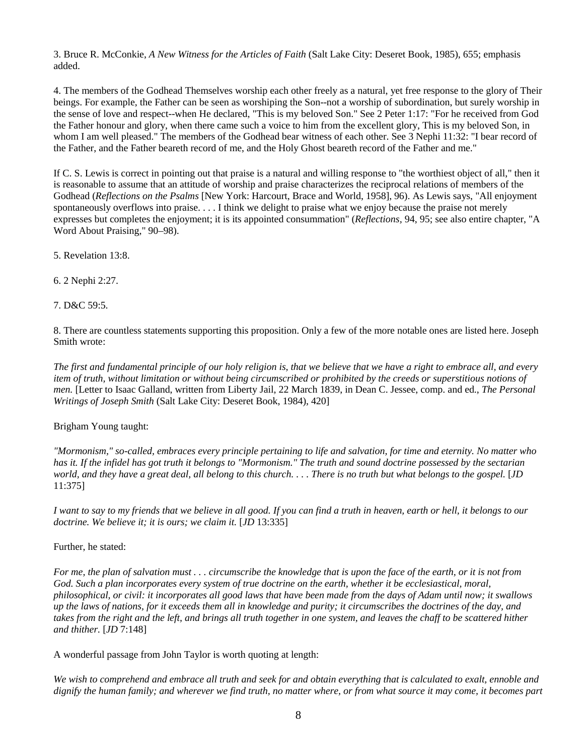3. Bruce R. McConkie, *A New Witness for the Articles of Faith* (Salt Lake City: Deseret Book, 1985), 655; emphasis added.

4. The members of the Godhead Themselves worship each other freely as a natural, yet free response to the glory of Their beings. For example, the Father can be seen as worshiping the Son--not a worship of subordination, but surely worship in the sense of love and respect--when He declared, "This is my beloved Son." See 2 Peter 1:17: "For he received from God the Father honour and glory, when there came such a voice to him from the excellent glory, This is my beloved Son, in whom I am well pleased." The members of the Godhead bear witness of each other. See 3 Nephi 11:32: "I bear record of the Father, and the Father beareth record of me, and the Holy Ghost beareth record of the Father and me."

If C. S. Lewis is correct in pointing out that praise is a natural and willing response to "the worthiest object of all," then it is reasonable to assume that an attitude of worship and praise characterizes the reciprocal relations of members of the Godhead (*Reflections on the Psalms* [New York: Harcourt, Brace and World, 1958], 96). As Lewis says, "All enjoyment spontaneously overflows into praise. . . . I think we delight to praise what we enjoy because the praise not merely expresses but completes the enjoyment; it is its appointed consummation" (*Reflections,* 94, 95; see also entire chapter, "A Word About Praising," 90–98).

5. Revelation 13:8.

6. 2 Nephi 2:27.

7. D&C 59:5.

8. There are countless statements supporting this proposition. Only a few of the more notable ones are listed here. Joseph Smith wrote:

*The first and fundamental principle of our holy religion is, that we believe that we have a right to embrace all, and every item of truth, without limitation or without being circumscribed or prohibited by the creeds or superstitious notions of men.* [Letter to Isaac Galland, written from Liberty Jail, 22 March 1839, in Dean C. Jessee, comp. and ed., *The Personal Writings of Joseph Smith* (Salt Lake City: Deseret Book, 1984), 420]

Brigham Young taught:

*"Mormonism," so-called, embraces every principle pertaining to life and salvation, for time and eternity. No matter who has it. If the infidel has got truth it belongs to "Mormonism." The truth and sound doctrine possessed by the sectarian world, and they have a great deal, all belong to this church.... There is no truth but what belongs to the gospel. [JD* 11:375]

*I want to say to my friends that we believe in all good. If you can find a truth in heaven, earth or hell, it belongs to our doctrine. We believe it; it is ours; we claim it.* [*JD* 13:335]

#### Further, he stated:

*For me, the plan of salvation must . . . circumscribe the knowledge that is upon the face of the earth, or it is not from God. Such a plan incorporates every system of true doctrine on the earth, whether it be ecclesiastical, moral, philosophical, or civil: it incorporates all good laws that have been made from the days of Adam until now; it swallows up the laws of nations, for it exceeds them all in knowledge and purity; it circumscribes the doctrines of the day, and takes from the right and the left, and brings all truth together in one system, and leaves the chaff to be scattered hither and thither.* [*JD* 7:148]

A wonderful passage from John Taylor is worth quoting at length:

*We wish to comprehend and embrace all truth and seek for and obtain everything that is calculated to exalt, ennoble and dignify the human family; and wherever we find truth, no matter where, or from what source it may come, it becomes part*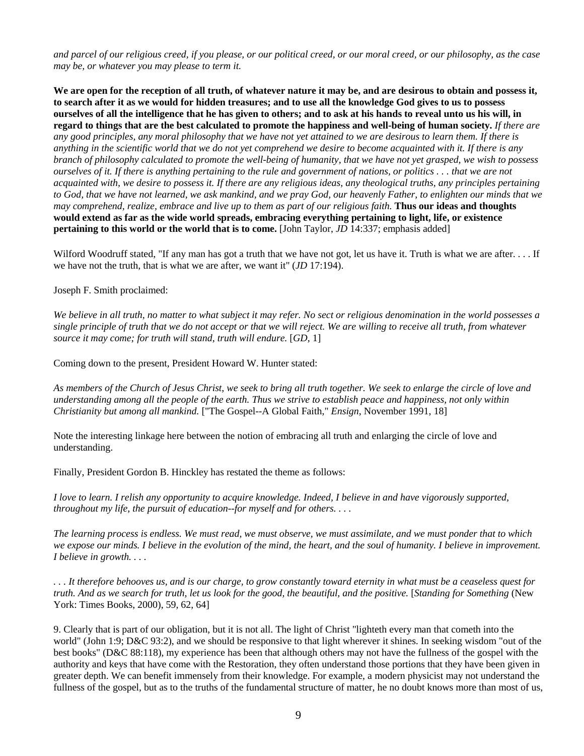*and parcel of our religious creed, if you please, or our political creed, or our moral creed, or our philosophy, as the case may be, or whatever you may please to term it.*

**We are open for the reception of all truth, of whatever nature it may be, and are desirous to obtain and possess it, to search after it as we would for hidden treasures; and to use all the knowledge God gives to us to possess ourselves of all the intelligence that he has given to others; and to ask at his hands to reveal unto us his will, in regard to things that are the best calculated to promote the happiness and well-being of human society.** *If there are any good principles, any moral philosophy that we have not yet attained to we are desirous to learn them. If there is anything in the scientific world that we do not yet comprehend we desire to become acquainted with it. If there is any branch of philosophy calculated to promote the well-being of humanity, that we have not yet grasped, we wish to possess ourselves of it. If there is anything pertaining to the rule and government of nations, or politics . . . that we are not acquainted with, we desire to possess it. If there are any religious ideas, any theological truths, any principles pertaining to God, that we have not learned, we ask mankind, and we pray God, our heavenly Father, to enlighten our minds that we may comprehend, realize, embrace and live up to them as part of our religious faith.* **Thus our ideas and thoughts would extend as far as the wide world spreads, embracing everything pertaining to light, life, or existence pertaining to this world or the world that is to come.** [John Taylor, *JD* 14:337; emphasis added]

Wilford Woodruff stated, "If any man has got a truth that we have not got, let us have it. Truth is what we are after.... If we have not the truth, that is what we are after, we want it" (*JD* 17:194).

Joseph F. Smith proclaimed:

*We believe in all truth, no matter to what subject it may refer. No sect or religious denomination in the world possesses a single principle of truth that we do not accept or that we will reject. We are willing to receive all truth, from whatever source it may come; for truth will stand, truth will endure.* [*GD,* 1]

Coming down to the present, President Howard W. Hunter stated:

*As members of the Church of Jesus Christ, we seek to bring all truth together. We seek to enlarge the circle of love and understanding among all the people of the earth. Thus we strive to establish peace and happiness, not only within Christianity but among all mankind.* ["The Gospel--A Global Faith," *Ensign,* November 1991, 18]

Note the interesting linkage here between the notion of embracing all truth and enlarging the circle of love and understanding.

Finally, President Gordon B. Hinckley has restated the theme as follows:

*I love to learn. I relish any opportunity to acquire knowledge. Indeed, I believe in and have vigorously supported, throughout my life, the pursuit of education--for myself and for others. . . .*

*The learning process is endless. We must read, we must observe, we must assimilate, and we must ponder that to which we expose our minds. I believe in the evolution of the mind, the heart, and the soul of humanity. I believe in improvement. I believe in growth. . . .*

*. . . It therefore behooves us, and is our charge, to grow constantly toward eternity in what must be a ceaseless quest for truth. And as we search for truth, let us look for the good, the beautiful, and the positive.* [*Standing for Something* (New York: Times Books, 2000), 59, 62, 64]

9. Clearly that is part of our obligation, but it is not all. The light of Christ "lighteth every man that cometh into the world" (John 1:9; D&C 93:2), and we should be responsive to that light wherever it shines. In seeking wisdom "out of the best books" (D&C 88:118), my experience has been that although others may not have the fullness of the gospel with the authority and keys that have come with the Restoration, they often understand those portions that they have been given in greater depth. We can benefit immensely from their knowledge. For example, a modern physicist may not understand the fullness of the gospel, but as to the truths of the fundamental structure of matter, he no doubt knows more than most of us,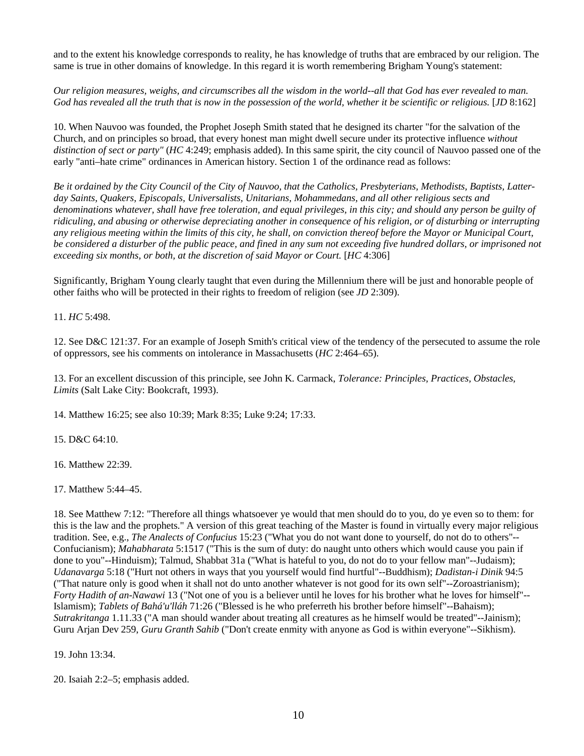and to the extent his knowledge corresponds to reality, he has knowledge of truths that are embraced by our religion. The same is true in other domains of knowledge. In this regard it is worth remembering Brigham Young's statement:

*Our religion measures, weighs, and circumscribes all the wisdom in the world--all that God has ever revealed to man. God has revealed all the truth that is now in the possession of the world, whether it be scientific or religious.* [*JD* 8:162]

10. When Nauvoo was founded, the Prophet Joseph Smith stated that he designed its charter "for the salvation of the Church, and on principles so broad, that every honest man might dwell secure under its protective influence *without distinction of sect or party"* (*HC* 4:249; emphasis added). In this same spirit, the city council of Nauvoo passed one of the early "anti–hate crime" ordinances in American history. Section 1 of the ordinance read as follows:

*Be it ordained by the City Council of the City of Nauvoo, that the Catholics, Presbyterians, Methodists, Baptists, Latterday Saints, Quakers, Episcopals, Universalists, Unitarians, Mohammedans, and all other religious sects and denominations whatever, shall have free toleration, and equal privileges, in this city; and should any person be guilty of ridiculing, and abusing or otherwise depreciating another in consequence of his religion, or of disturbing or interrupting any religious meeting within the limits of this city, he shall, on conviction thereof before the Mayor or Municipal Court, be considered a disturber of the public peace, and fined in any sum not exceeding five hundred dollars, or imprisoned not exceeding six months, or both, at the discretion of said Mayor or Court.* [*HC* 4:306]

Significantly, Brigham Young clearly taught that even during the Millennium there will be just and honorable people of other faiths who will be protected in their rights to freedom of religion (see *JD* 2:309).

11. *HC* 5:498.

12. See D&C 121:37. For an example of Joseph Smith's critical view of the tendency of the persecuted to assume the role of oppressors, see his comments on intolerance in Massachusetts (*HC* 2:464–65).

13. For an excellent discussion of this principle, see John K. Carmack, *Tolerance: Principles, Practices, Obstacles, Limits* (Salt Lake City: Bookcraft, 1993).

14. Matthew 16:25; see also 10:39; Mark 8:35; Luke 9:24; 17:33.

15. D&C 64:10.

16. Matthew 22:39.

17. Matthew 5:44–45.

18. See Matthew 7:12: "Therefore all things whatsoever ye would that men should do to you, do ye even so to them: for this is the law and the prophets." A version of this great teaching of the Master is found in virtually every major religious tradition. See, e.g., *The Analects of Confucius* 15:23 ("What you do not want done to yourself, do not do to others"-- Confucianism); *Mahabharata* 5:1517 ("This is the sum of duty: do naught unto others which would cause you pain if done to you"--Hinduism); Talmud, Shabbat 31a ("What is hateful to you, do not do to your fellow man"--Judaism); *Udanavarga* 5:18 ("Hurt not others in ways that you yourself would find hurtful"--Buddhism); *Dadistan-i Dinik* 94:5 ("That nature only is good when it shall not do unto another whatever is not good for its own self"--Zoroastrianism); *Forty Hadith of an-Nawawi* 13 ("Not one of you is a believer until he loves for his brother what he loves for himself"-- Islamism); *Tablets of Bahá'u'lláh* 71:26 ("Blessed is he who preferreth his brother before himself"--Bahaism); *Sutrakritanga* 1.11.33 ("A man should wander about treating all creatures as he himself would be treated"--Jainism); Guru Arjan Dev 259, *Guru Granth Sahib* ("Don't create enmity with anyone as God is within everyone"--Sikhism).

19. John 13:34.

20. Isaiah 2:2–5; emphasis added.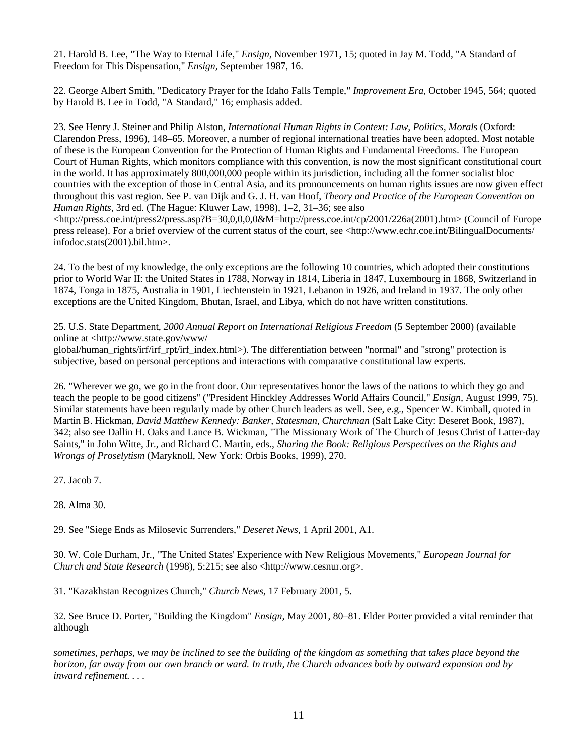21. Harold B. Lee, "The Way to Eternal Life," *Ensign,* November 1971, 15; quoted in Jay M. Todd, "A Standard of Freedom for This Dispensation," *Ensign,* September 1987, 16.

22. George Albert Smith, "Dedicatory Prayer for the Idaho Falls Temple," *Improvement Era,* October 1945, 564; quoted by Harold B. Lee in Todd, "A Standard," 16; emphasis added.

23. See Henry J. Steiner and Philip Alston, *International Human Rights in Context: Law, Politics, Morals* (Oxford: Clarendon Press, 1996), 148–65. Moreover, a number of regional international treaties have been adopted. Most notable of these is the European Convention for the Protection of Human Rights and Fundamental Freedoms. The European Court of Human Rights, which monitors compliance with this convention, is now the most significant constitutional court in the world. It has approximately 800,000,000 people within its jurisdiction, including all the former socialist bloc countries with the exception of those in Central Asia, and its pronouncements on human rights issues are now given effect throughout this vast region. See P. van Dijk and G. J. H. van Hoof, *Theory and Practice of the European Convention on Human Rights,* 3rd ed. (The Hague: Kluwer Law, 1998), 1–2, 31–36; see also

 $\langle$ http://press.coe.int/press2/press.asp?B=30,0,0,0,0&M=http://press.coe.int/cp/2001/226a(2001).htm> (Council of Europe press release). For a brief overview of the current status of the court, see <http://www.echr.coe.int/BilingualDocuments/ infodoc.stats(2001).bil.htm>.

24. To the best of my knowledge, the only exceptions are the following 10 countries, which adopted their constitutions prior to World War II: the United States in 1788, Norway in 1814, Liberia in 1847, Luxembourg in 1868, Switzerland in 1874, Tonga in 1875, Australia in 1901, Liechtenstein in 1921, Lebanon in 1926, and Ireland in 1937. The only other exceptions are the United Kingdom, Bhutan, Israel, and Libya, which do not have written constitutions.

25. U.S. State Department, *2000 Annual Report on International Religious Freedom* (5 September 2000) (available online at <http://www.state.gov/www/

global/human\_rights/irf/irf\_rpt/irf\_index.html>). The differentiation between "normal" and "strong" protection is subjective, based on personal perceptions and interactions with comparative constitutional law experts.

26. "Wherever we go, we go in the front door. Our representatives honor the laws of the nations to which they go and teach the people to be good citizens" ("President Hinckley Addresses World Affairs Council," *Ensign,* August 1999, 75). Similar statements have been regularly made by other Church leaders as well. See, e.g., Spencer W. Kimball, quoted in Martin B. Hickman, *David Matthew Kennedy: Banker, Statesman, Churchman* (Salt Lake City: Deseret Book, 1987), 342; also see Dallin H. Oaks and Lance B. Wickman, "The Missionary Work of The Church of Jesus Christ of Latter-day Saints," in John Witte, Jr., and Richard C. Martin, eds., *Sharing the Book: Religious Perspectives on the Rights and Wrongs of Proselytism* (Maryknoll, New York: Orbis Books, 1999), 270.

27. Jacob 7.

28. Alma 30.

29. See "Siege Ends as Milosevic Surrenders," *Deseret News,* 1 April 2001, A1.

30. W. Cole Durham, Jr., "The United States' Experience with New Religious Movements," *European Journal for Church and State Research* (1998), 5:215; see also <http://www.cesnur.org>.

31. "Kazakhstan Recognizes Church," *Church News,* 17 February 2001, 5.

32. See Bruce D. Porter, "Building the Kingdom" *Ensign,* May 2001, 80–81. Elder Porter provided a vital reminder that although

*sometimes, perhaps, we may be inclined to see the building of the kingdom as something that takes place beyond the horizon, far away from our own branch or ward. In truth, the Church advances both by outward expansion and by inward refinement. . . .*